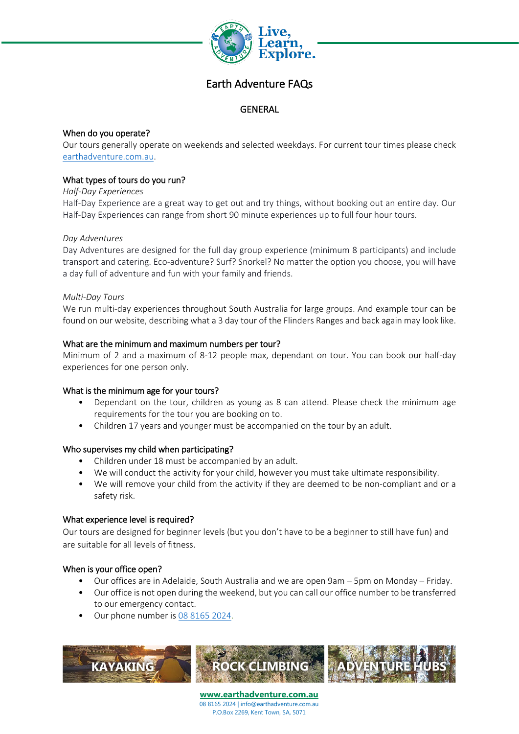

# Earth Adventure FAQs

## **GENERAL**

## When do you operate?

Our tours generally operate on weekends and selected weekdays. For current tour times please check [earthadventure.com.au.](https://earthadventure.com.au/)

## What types of tours do you run?

#### *Half-Day Experiences*

Half-Day Experience are a great way to get out and try things, without booking out an entire day. Our Half-Day Experiences can range from short 90 minute experiences up to full four hour tours.

## *Day Adventures*

Day Adventures are designed for the full day group experience (minimum 8 participants) and include transport and catering. Eco-adventure? Surf? Snorkel? No matter the option you choose, you will have a day full of adventure and fun with your family and friends.

#### *Multi-Day Tours*

We run multi-day experiences throughout South Australia for large groups. And example tour can be found on our website, describing what a 3 day tour of the Flinders Ranges and back again may look like.

#### What are the minimum and maximum numbers per tour?

Minimum of 2 and a maximum of 8-12 people max, dependant on tour. You can book our half-day experiences for one person only.

## What is the minimum age for your tours?

- Dependant on the tour, children as young as 8 can attend. Please check the minimum age requirements for the tour you are booking on to.
- Children 17 years and younger must be accompanied on the tour by an adult.

## Who supervises my child when participating?

- Children under 18 must be accompanied by an adult.
- We will conduct the activity for your child, however you must take ultimate responsibility.
- We will remove your child from the activity if they are deemed to be non-compliant and or a safety risk.

#### What experience level is required?

Our tours are designed for beginner levels (but you don't have to be a beginner to still have fun) and are suitable for all levels of fitness.

## When is your office open?

- Our offices are in Adelaide, South Australia and we are open 9am 5pm on Monday Friday.
- Our office is not open during the weekend, but you can call our office number to be transferred to our emergency contact.
- Our phone number i[s 08 8165 2024.](tel:0881652024)

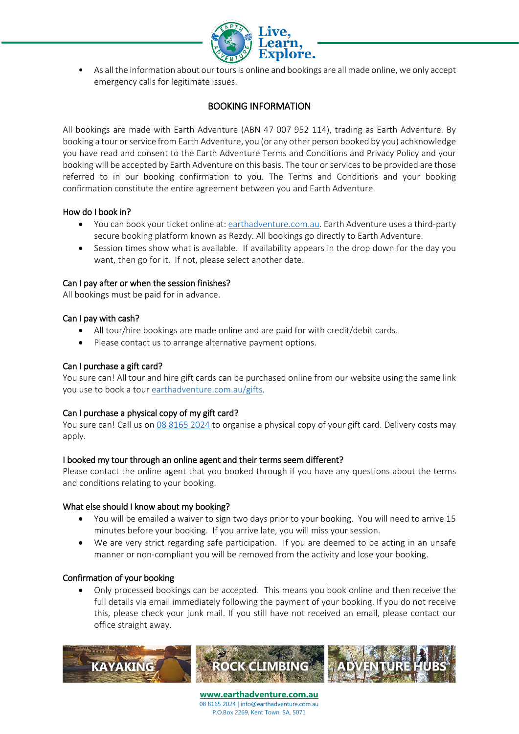

• As all the information about our tours is online and bookings are all made online, we only accept emergency calls for legitimate issues.

# BOOKING INFORMATION

All bookings are made with Earth Adventure (ABN 47 007 952 114), trading as Earth Adventure. By booking a tour or service from Earth Adventure, you (or any other person booked by you) achknowledge you have read and consent to the Earth Adventure Terms and Conditions and Privacy Policy and your booking will be accepted by Earth Adventure on this basis. The tour or services to be provided are those referred to in our booking confirmation to you. The Terms and Conditions and your booking confirmation constitute the entire agreement between you and Earth Adventure.

#### How do I book in?

- You can book your ticket online at: [earthadventure.com.au.](https://earthadventure.com.au/) Earth Adventure uses a third-party secure booking platform known as Rezdy. All bookings go directly to Earth Adventure.
- Session times show what is available. If availability appears in the drop down for the day you want, then go for it. If not, please select another date.

#### Can I pay after or when the session finishes?

All bookings must be paid for in advance.

#### Can I pay with cash?

- All tour/hire bookings are made online and are paid for with credit/debit cards.
- Please contact us to arrange alternative payment options.

#### Can I purchase a gift card?

You sure can! All tour and hire gift cards can be purchased online from our website using the same link you use to book a tour [earthadventure.com.au/gifts.](https://earthadventure.com.au/gifts)

## Can I purchase a physical copy of my gift card?

You sure can! Call us on [08 8165 2024](tel:0881652024) to organise a physical copy of your gift card. Delivery costs may apply.

#### I booked my tour through an online agent and their terms seem different?

Please contact the online agent that you booked through if you have any questions about the terms and conditions relating to your booking.

#### What else should I know about my booking?

- You will be emailed a waiver to sign two days prior to your booking. You will need to arrive 15 minutes before your booking. If you arrive late, you will miss your session.
- We are very strict regarding safe participation. If you are deemed to be acting in an unsafe manner or non-compliant you will be removed from the activity and lose your booking.

#### Confirmation of your booking

• Only processed bookings can be accepted. This means you book online and then receive the full details via email immediately following the payment of your booking. If you do not receive this, please check your junk mail. If you still have not received an email, please contact our office straight away.

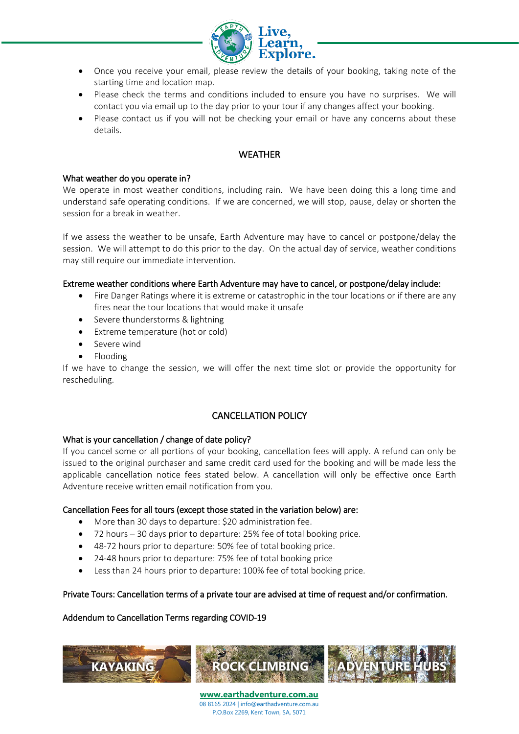

- Once you receive your email, please review the details of your booking, taking note of the starting time and location map.
- Please check the terms and conditions included to ensure you have no surprises. We will contact you via email up to the day prior to your tour if any changes affect your booking.
- Please contact us if you will not be checking your email or have any concerns about these details.

# **WEATHER**

#### What weather do you operate in?

We operate in most weather conditions, including rain. We have been doing this a long time and understand safe operating conditions. If we are concerned, we will stop, pause, delay or shorten the session for a break in weather.

If we assess the weather to be unsafe, Earth Adventure may have to cancel or postpone/delay the session. We will attempt to do this prior to the day. On the actual day of service, weather conditions may still require our immediate intervention.

#### Extreme weather conditions where Earth Adventure may have to cancel, or postpone/delay include:

- Fire Danger Ratings where it is extreme or catastrophic in the tour locations or if there are any fires near the tour locations that would make it unsafe
- Severe thunderstorms & lightning
- Extreme temperature (hot or cold)
- Severe wind
- Flooding

If we have to change the session, we will offer the next time slot or provide the opportunity for rescheduling.

# CANCELLATION POLICY

#### What is your cancellation / change of date policy?

If you cancel some or all portions of your booking, cancellation fees will apply. A refund can only be issued to the original purchaser and same credit card used for the booking and will be made less the applicable cancellation notice fees stated below. A cancellation will only be effective once Earth Adventure receive written email notification from you.

#### Cancellation Fees for all tours (except those stated in the variation below) are:

- More than 30 days to departure: \$20 administration fee.
- 72 hours 30 days prior to departure: 25% fee of total booking price.
- 48-72 hours prior to departure: 50% fee of total booking price.
- 24-48 hours prior to departure: 75% fee of total booking price
- Less than 24 hours prior to departure: 100% fee of total booking price.

## Private Tours: Cancellation terms of a private tour are advised at time of request and/or confirmation.

## Addendum to Cancellation Terms regarding COVID-19

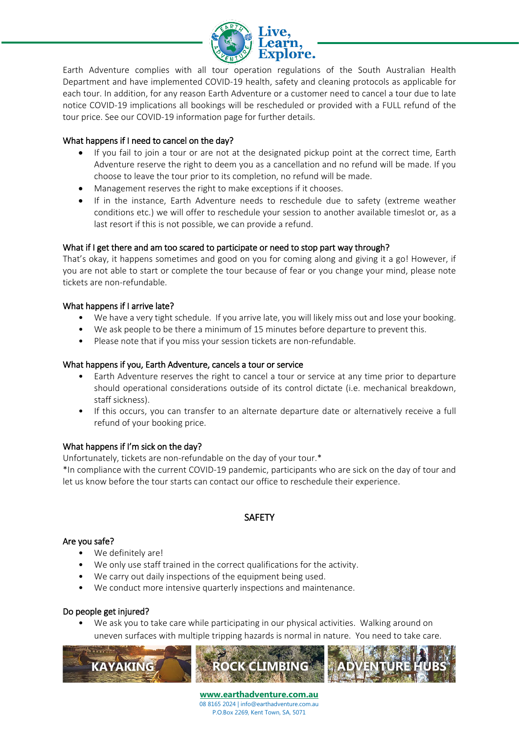

Earth Adventure complies with all tour operation regulations of the South Australian Health Department and have implemented COVID-19 health, safety and cleaning protocols as applicable for each tour. In addition, for any reason Earth Adventure or a customer need to cancel a tour due to late notice COVID-19 implications all bookings will be rescheduled or provided with a FULL refund of the tour price. See our COVID-19 information page for further details.

# What happens if I need to cancel on the day?

- If you fail to join a tour or are not at the designated pickup point at the correct time, Earth Adventure reserve the right to deem you as a cancellation and no refund will be made. If you choose to leave the tour prior to its completion, no refund will be made.
- Management reserves the right to make exceptions if it chooses.
- If in the instance, Earth Adventure needs to reschedule due to safety (extreme weather conditions etc.) we will offer to reschedule your session to another available timeslot or, as a last resort if this is not possible, we can provide a refund.

# What if I get there and am too scared to participate or need to stop part way through?

That's okay, it happens sometimes and good on you for coming along and giving it a go! However, if you are not able to start or complete the tour because of fear or you change your mind, please note tickets are non-refundable.

# What happens if I arrive late?

- We have a very tight schedule. If you arrive late, you will likely miss out and lose your booking.
- We ask people to be there a minimum of 15 minutes before departure to prevent this.
- Please note that if you miss your session tickets are non-refundable.

## What happens if you, Earth Adventure, cancels a tour or service

- Earth Adventure reserves the right to cancel a tour or service at any time prior to departure should operational considerations outside of its control dictate (i.e. mechanical breakdown, staff sickness).
- If this occurs, you can transfer to an alternate departure date or alternatively receive a full refund of your booking price.

## What happens if I'm sick on the day?

Unfortunately, tickets are non-refundable on the day of your tour.\*

\*In compliance with the current COVID-19 pandemic, participants who are sick on the day of tour and let us know before the tour starts can contact our office to reschedule their experience.

# **SAFETY**

## Are you safe?

- We definitely are!
- We only use staff trained in the correct qualifications for the activity.
- We carry out daily inspections of the equipment being used.
- We conduct more intensive quarterly inspections and maintenance.

## Do people get injured?

• We ask you to take care while participating in our physical activities. Walking around on uneven surfaces with multiple tripping hazards is normal in nature. You need to take care.

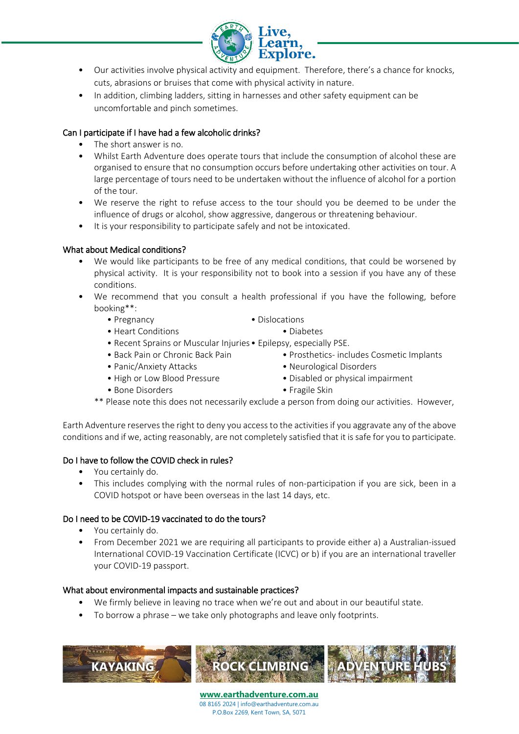

- Our activities involve physical activity and equipment. Therefore, there's a chance for knocks, cuts, abrasions or bruises that come with physical activity in nature.
- In addition, climbing ladders, sitting in harnesses and other safety equipment can be uncomfortable and pinch sometimes.

## Can I participate if I have had a few alcoholic drinks?

- The short answer is no.
- Whilst Earth Adventure does operate tours that include the consumption of alcohol these are organised to ensure that no consumption occurs before undertaking other activities on tour. A large percentage of tours need to be undertaken without the influence of alcohol for a portion of the tour.
- We reserve the right to refuse access to the tour should you be deemed to be under the influence of drugs or alcohol, show aggressive, dangerous or threatening behaviour.
- It is your responsibility to participate safely and not be intoxicated.

# What about Medical conditions?

- We would like participants to be free of any medical conditions, that could be worsened by physical activity. It is your responsibility not to book into a session if you have any of these conditions.
- We recommend that you consult a health professional if you have the following, before booking\*\*:
	- Pregnancy  **Dislocations** 
		-
	- Heart Conditions Diabetes
	- Recent Sprains or Muscular Injuries• Epilepsy, especially PSE.
	-
	-
	- Back Pain or Chronic Back Pain Prosthetics- includes Cosmetic Implants
	- Panic/Anxiety Attacks Neurological Disorders
	- High or Low Blood Pressure Disabled or physical impairment
		-
	- Bone Disorders Fragile Skin
		-
	- \*\* Please note this does not necessarily exclude a person from doing our activities. However,

Earth Adventure reserves the right to deny you access to the activities if you aggravate any of the above conditions and if we, acting reasonably, are not completely satisfied that it is safe for you to participate.

## Do I have to follow the COVID check in rules?

- You certainly do.
- This includes complying with the normal rules of non-participation if you are sick, been in a COVID hotspot or have been overseas in the last 14 days, etc.

# Do I need to be COVID-19 vaccinated to do the tours?

- You certainly do.
- From December 2021 we are requiring all participants to provide either a) a Australian-issued International COVID-19 Vaccination Certificate (ICVC) or b) if you are an international traveller your COVID-19 passport.

## What about environmental impacts and sustainable practices?

- We firmly believe in leaving no trace when we're out and about in our beautiful state.
- To borrow a phrase we take only photographs and leave only footprints.

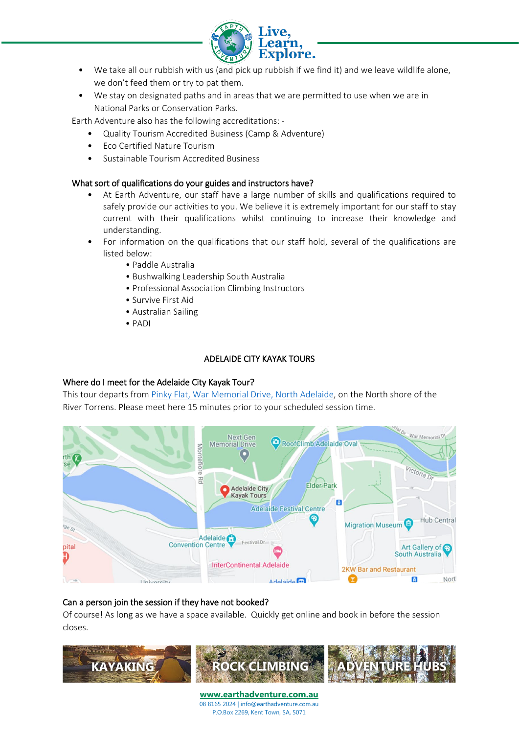

- We take all our rubbish with us (and pick up rubbish if we find it) and we leave wildlife alone, we don't feed them or try to pat them.
- We stay on designated paths and in areas that we are permitted to use when we are in National Parks or Conservation Parks.

Earth Adventure also has the following accreditations: -

- Quality Tourism Accredited Business (Camp & Adventure)
- Eco Certified Nature Tourism
- Sustainable Tourism Accredited Business

#### What sort of qualifications do your guides and instructors have?

- At Earth Adventure, our staff have a large number of skills and qualifications required to safely provide our activities to you. We believe it is extremely important for our staff to stay current with their qualifications whilst continuing to increase their knowledge and understanding.
- For information on the qualifications that our staff hold, several of the qualifications are listed below:
	- Paddle Australia
	- Bushwalking Leadership South Australia
	- Professional Association Climbing Instructors
	- Survive First Aid
	- Australian Sailing
	- PADI

#### ADELAIDE CITY KAYAK TOURS

#### Where do I meet for the Adelaide City Kayak Tour?

This tour departs fro[m Pinky Flat, War Memorial Drive, North Adelaide,](https://www.google.com.au/maps/place/Adelaide+City+Kayak+Tour/@-34.9185518,138.5920096,17z/data=!3m1!4b1!4m5!3m4!1s0x6ab0cf622d7b5ead:0x78637fa4f9b7b358!8m2!3d-34.9185562!4d138.5941983) on the North shore of the River Torrens. Please meet here 15 minutes prior to your scheduled session time.



## Can a person join the session if they have not booked?

Of course! As long as we have a space available. Quickly get online and book in before the session closes.

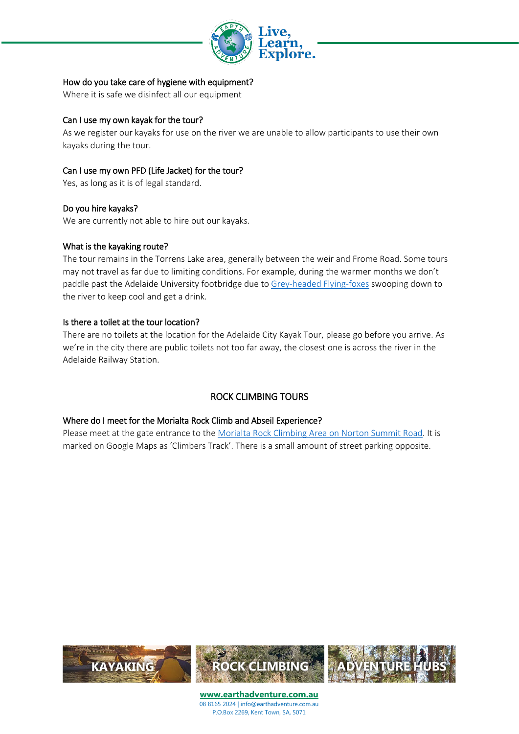

## How do you take care of hygiene with equipment?

Where it is safe we disinfect all our equipment

## Can I use my own kayak for the tour?

As we register our kayaks for use on the river we are unable to allow participants to use their own kayaks during the tour.

# Can I use my own PFD (Life Jacket) for the tour?

Yes, as long as it is of legal standard.

# Do you hire kayaks?

We are currently not able to hire out our kayaks.

## What is the kayaking route?

The tour remains in the Torrens Lake area, generally between the weir and Frome Road. Some tours may not travel as far due to limiting conditions. For example, during the warmer months we don't paddle past the Adelaide University footbridge due to [Grey-headed Flying-foxes](https://www.cityofadelaide.com.au/about-adelaide/our-sustainable-city/biodiversity/grey-headed-flying-fox/) swooping down to the river to keep cool and get a drink.

## Is there a toilet at the tour location?

There are no toilets at the location for the Adelaide City Kayak Tour, please go before you arrive. As we're in the city there are public toilets not too far away, the closest one is across the river in the Adelaide Railway Station.

# ROCK CLIMBING TOURS

## Where do I meet for the Morialta Rock Climb and Abseil Experience?

Please meet at the gate entrance to the [Morialta Rock Climbing Area on Norton Summit Road.](https://www.google.com.au/maps/place/Earth+Adventure) It is marked on Google Maps as 'Climbers Track'. There is a small amount of street parking opposite.

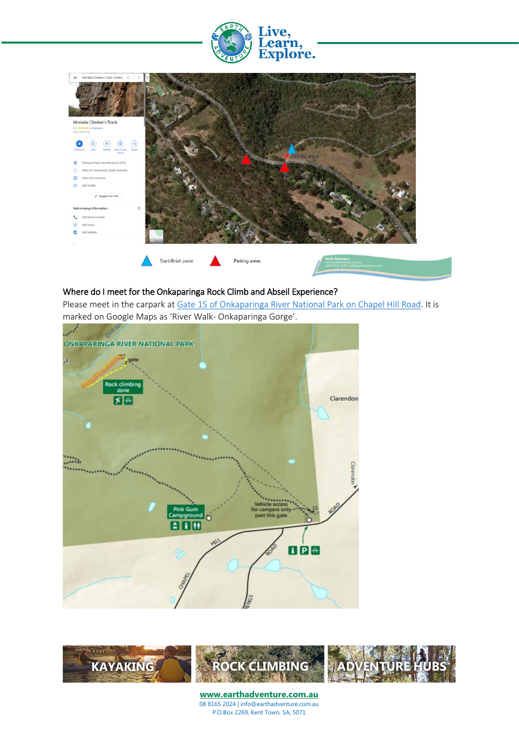



#### Where do I meet for the Onkaparinga Rock Climb and Abseil Experience?

Please meet in the carpark at [Gate 15 of Onkaparinga River National Park on Chapel Hill Road.](https://www.google.com.au/maps/place/Earth+Adventure) It is marked on Google Maps as 'River Walk- Onkaparinga Gorge'.



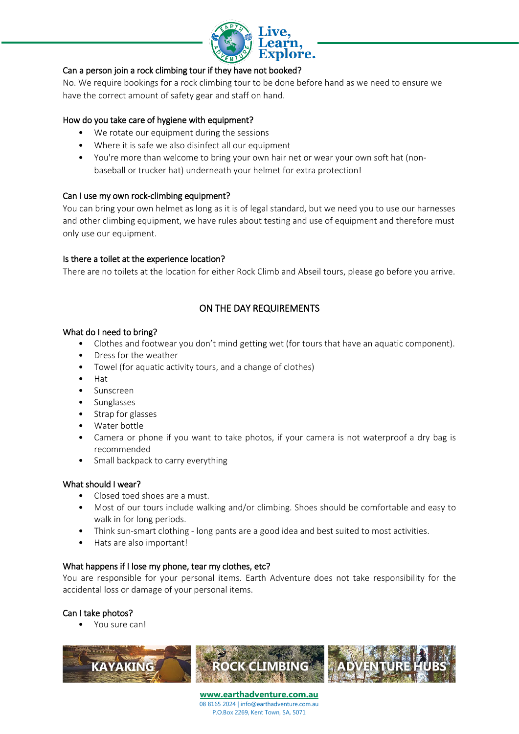

## Can a person join a rock climbing tour if they have not booked?

No. We require bookings for a rock climbing tour to be done before hand as we need to ensure we have the correct amount of safety gear and staff on hand.

## How do you take care of hygiene with equipment?

- We rotate our equipment during the sessions
- Where it is safe we also disinfect all our equipment
- You're more than welcome to bring your own hair net or wear your own soft hat (nonbaseball or trucker hat) underneath your helmet for extra protection!

#### Can I use my own rock-climbing equipment?

You can bring your own helmet as long as it is of legal standard, but we need you to use our harnesses and other climbing equipment, we have rules about testing and use of equipment and therefore must only use our equipment.

#### Is there a toilet at the experience location?

There are no toilets at the location for either Rock Climb and Abseil tours, please go before you arrive.

# ON THE DAY REQUIREMENTS

#### What do I need to bring?

- Clothes and footwear you don't mind getting wet (for tours that have an aquatic component).
- Dress for the weather
- Towel (for aquatic activity tours, and a change of clothes)
- Hat
- Sunscreen
- Sunglasses
- Strap for glasses
- Water bottle
- Camera or phone if you want to take photos, if your camera is not waterproof a dry bag is recommended
- Small backpack to carry everything

#### What should I wear?

- Closed toed shoes are a must.
- Most of our tours include walking and/or climbing. Shoes should be comfortable and easy to walk in for long periods.
- Think sun-smart clothing long pants are a good idea and best suited to most activities.
- Hats are also important!

## What happens if I lose my phone, tear my clothes, etc?

You are responsible for your personal items. Earth Adventure does not take responsibility for the accidental loss or damage of your personal items.

## Can I take photos?

• You sure can!